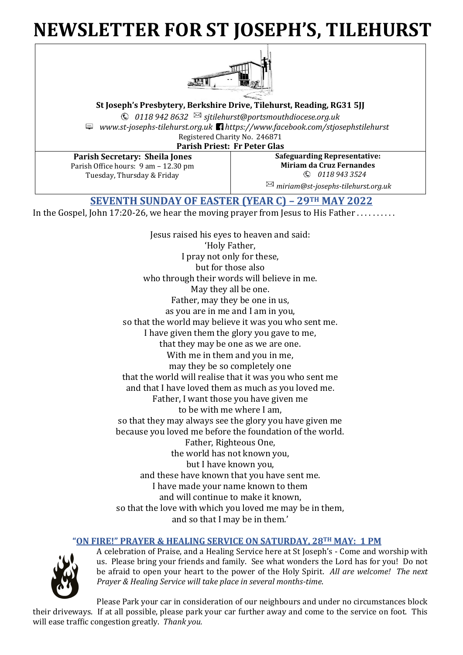# **NEWSLETTER FOR ST JOSEPH'S, TILEHURST**



**St Joseph's Presbytery, Berkshire Drive, Tilehurst, Reading, RG31 5JJ**

*0118 942 8632 sjtilehurst@portsmouthdiocese.org.uk www.st-josephs-tilehurst.org.uk https://www.facebook.com/stjosephstilehurst* Registered Charity No. 246871

**Parish Priest: Fr Peter Glas**

**Parish Secretary: Sheila Jones** Parish Office hours: 9 am – 12.30 pm Tuesday, Thursday & Friday

**Safeguarding Representative: Miriam da Cruz Fernandes** *0118 943 3524* 

*miriam@st-josephs-tilehurst.org.uk*

**SEVENTH SUNDAY OF EASTER (YEAR C) – 29TH MAY 2022**

In the Gospel, John 17:20-26, we hear the moving prayer from Jesus to His Father . . . . . . . . . .

Jesus raised his eyes to heaven and said: 'Holy Father, I pray not only for these, but for those also who through their words will believe in me. May they all be one. Father, may they be one in us, as you are in me and I am in you, so that the world may believe it was you who sent me. I have given them the glory you gave to me, that they may be one as we are one. With me in them and you in me, may they be so completely one that the world will realise that it was you who sent me and that I have loved them as much as you loved me. Father, I want those you have given me to be with me where I am, so that they may always see the glory you have given me because you loved me before the foundation of the world. Father, Righteous One, the world has not known you, but I have known you, and these have known that you have sent me. I have made your name known to them and will continue to make it known, so that the love with which you loved me may be in them, and so that I may be in them.'

# **"ON FIRE!" PRAYER & HEALING SERVICE ON SATURDAY, 28TH MAY: 1 PM**



A celebration of Praise, and a Healing Service here at St Joseph's - Come and worship with us. Please bring your friends and family. See what wonders the Lord has for you! Do not be afraid to open your heart to the power of the Holy Spirit. *All are welcome! The next Prayer & Healing Service will take place in several months-time*.

Please Park your car in consideration of our neighbours and under no circumstances block their driveways. If at all possible, please park your car further away and come to the service on foot. This will ease traffic congestion greatly. *Thank you.*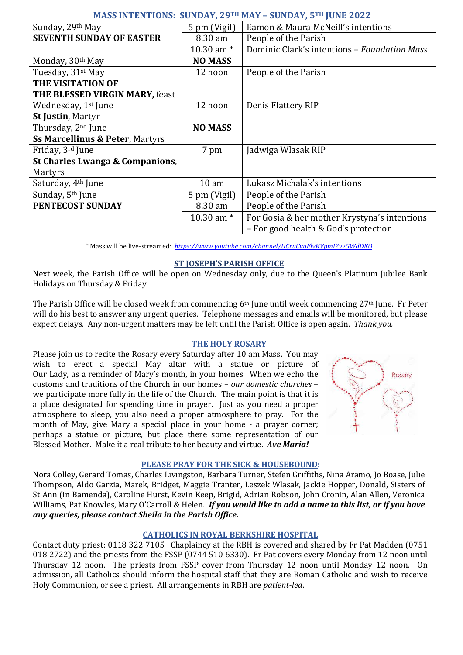| MASS INTENTIONS: SUNDAY, 29TH MAY - SUNDAY, 5TH JUNE 2022 |                  |                                              |  |
|-----------------------------------------------------------|------------------|----------------------------------------------|--|
| Sunday, 29th May                                          | 5 pm (Vigil)     | Eamon & Maura McNeill's intentions           |  |
| <b>SEVENTH SUNDAY OF EASTER</b>                           | 8.30 am          | People of the Parish                         |  |
|                                                           | 10.30 am $*$     | Dominic Clark's intentions - Foundation Mass |  |
| Monday, 30 <sup>th</sup> May                              | <b>NO MASS</b>   |                                              |  |
| Tuesday, 31 <sup>st</sup> May                             | 12 noon          | People of the Parish                         |  |
| THE VISITATION OF                                         |                  |                                              |  |
| THE BLESSED VIRGIN MARY, feast                            |                  |                                              |  |
| Wednesday, 1 <sup>st</sup> June                           | 12 noon          | Denis Flattery RIP                           |  |
| <b>St Justin, Martyr</b>                                  |                  |                                              |  |
| Thursday, 2 <sup>nd</sup> June                            | <b>NO MASS</b>   |                                              |  |
| <b>Ss Marcellinus &amp; Peter, Martyrs</b>                |                  |                                              |  |
| Friday, 3rd June                                          | 7 pm             | Jadwiga Wlasak RIP                           |  |
| St Charles Lwanga & Companions,                           |                  |                                              |  |
| Martyrs                                                   |                  |                                              |  |
| Saturday, 4 <sup>th</sup> June                            | 10 <sub>am</sub> | Lukasz Michalak's intentions                 |  |
| Sunday, 5 <sup>th</sup> June                              | 5 pm (Vigil)     | People of the Parish                         |  |
| PENTECOST SUNDAY                                          | 8.30 am          | People of the Parish                         |  |
|                                                           | 10.30 am $*$     | For Gosia & her mother Krystyna's intentions |  |
|                                                           |                  | - For good health & God's protection         |  |

\* Mass will be live-streamed: *<https://www.youtube.com/channel/UCruCvuFlvKVpmI2vvGWdDKQ>*

### **ST JOSEPH'S PARISH OFFICE**

Next week, the Parish Office will be open on Wednesday only, due to the Queen's Platinum Jubilee Bank Holidays on Thursday & Friday.

The Parish Office will be closed week from commencing 6th June until week commencing 27th June. Fr Peter will do his best to answer any urgent queries. Telephone messages and emails will be monitored, but please expect delays. Any non-urgent matters may be left until the Parish Office is open again. *Thank you.*

### **THE HOLY ROSARY**

Please join us to recite the Rosary every Saturday after 10 am Mass. You may wish to erect a special May altar with a statue or picture of Our Lady, as a reminder of Mary's month, in your homes. When we echo the customs and traditions of the Church in our homes – *our domestic churches* – we participate more fully in the life of the Church. The main point is that it is a place designated for spending time in prayer. Just as you need a proper atmosphere to sleep, you also need a proper atmosphere to pray. For the month of May, give Mary a special place in your home - a prayer corner; perhaps a statue or picture, but place there some representation of our Blessed Mother. Make it a real tribute to her beauty and virtue. *Ave Maria!*



### **PLEASE PRAY FOR THE SICK & HOUSEBOUND:**

Nora Colley, Gerard Tomas, Charles Livingston, Barbara Turner, Stefen Griffiths, Nina Aramo, Jo Boase, Julie Thompson, Aldo Garzia, Marek, Bridget, Maggie Tranter, Leszek Wlasak, Jackie Hopper, Donald, Sisters of St Ann (in Bamenda), Caroline Hurst, Kevin Keep, Brigid, Adrian Robson, John Cronin, Alan Allen, Veronica Williams, Pat Knowles, Mary O'Carroll & Helen. *If you would like to add a name to this list, or if you have any queries, please contact Sheila in the Parish Office.*

### **CATHOLICS IN ROYAL BERKSHIRE HOSPITAL**

Contact duty priest: 0118 322 7105. Chaplaincy at the RBH is covered and shared by Fr Pat Madden (0751 018 2722) and the priests from the FSSP (0744 510 6330). Fr Pat covers every Monday from 12 noon until Thursday 12 noon. The priests from FSSP cover from Thursday 12 noon until Monday 12 noon. On admission, all Catholics should inform the hospital staff that they are Roman Catholic and wish to receive Holy Communion, or see a priest. All arrangements in RBH are *patient-led*.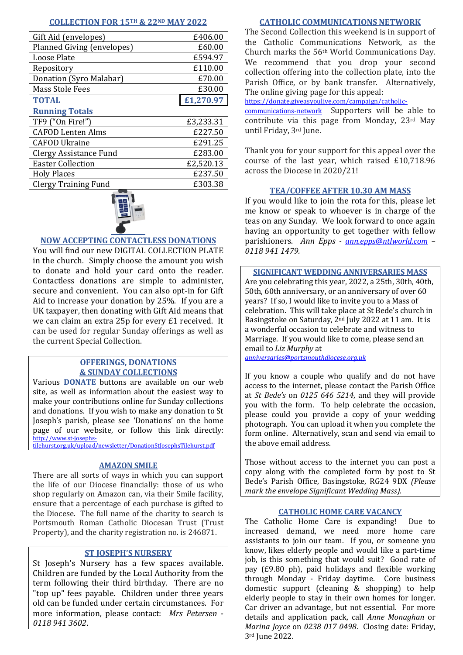### **COLLECTION FOR 15TH & 22ND MAY 2022**

| Gift Aid (envelopes)          | £406.00   |  |
|-------------------------------|-----------|--|
| Planned Giving (envelopes)    | £60.00    |  |
| Loose Plate                   | £594.97   |  |
| Repository                    | £110.00   |  |
| Donation (Syro Malabar)       | £70.00    |  |
| <b>Mass Stole Fees</b>        | £30.00    |  |
| <b>TOTAL</b>                  | £1,270.97 |  |
| <b>Running Totals</b>         |           |  |
| TF9 ("On Fire!")              | £3,233.31 |  |
| <b>CAFOD Lenten Alms</b>      | £227.50   |  |
| <b>CAFOD Ukraine</b>          | £291.25   |  |
| <b>Clergy Assistance Fund</b> | £283.00   |  |
| <b>Easter Collection</b>      | £2,520.13 |  |
| <b>Holy Places</b>            | £237.50   |  |
| <b>Clergy Training Fund</b>   | £303.38   |  |



# **NOW ACCEPTING CONTACTLESS DONATIONS**

You will find our new DIGITAL COLLECTION PLATE in the church. Simply choose the amount you wish to donate and hold your card onto the reader. Contactless donations are simple to administer, secure and convenient. You can also opt-in for Gift Aid to increase your donation by 25%. If you are a UK taxpayer, then donating with Gift Aid means that we can claim an extra 25p for every £1 received. It can be used for regular Sunday offerings as well as the current Special Collection.

## **OFFERINGS, DONATIONS & SUNDAY COLLECTIONS**

Various **DONATE** buttons are available on our web site, as well as information about the easiest way to make your contributions online for Sunday collections and donations. If you wish to make any donation to St Joseph's parish, please see 'Donations' on the home page of our website, or follow this link directly: [http://www.st-josephs-](http://www.st-josephs-tilehurst.org.uk/upload/newsletter/DonationStJosephsTilehurst.pdf)

[tilehurst.org.uk/upload/newsletter/DonationStJosephsTilehurst.pdf](http://www.st-josephs-tilehurst.org.uk/upload/newsletter/DonationStJosephsTilehurst.pdf)

### **AMAZON SMILE**

There are all sorts of ways in which you can support the life of our Diocese financially: those of us who shop regularly on Amazon can, via their Smile facility, ensure that a percentage of each purchase is gifted to the Diocese. The full name of the charity to search is Portsmouth Roman Catholic Diocesan Trust (Trust Property), and the charity registration no. is 246871.

# **ST JOSEPH'S NURSERY**

St Joseph's Nursery has a few spaces available. Children are funded by the Local Authority from the term following their third birthday. There are no "top up" fees payable. Children under three years old can be funded under certain circumstances. For more information, please contact: *Mrs Petersen - 0118 941 3602*.

### **CATHOLIC COMMUNICATIONS NETWORK**

The Second Collection this weekend is in support of the Catholic Communications Network, as the Church marks the 56th World Communications Day. We recommend that you drop your second collection offering into the collection plate, into the Parish Office, or by bank transfer. Alternatively, The online giving page for this appeal:

[https://donate.giveasyoulive.com/campaign/catholic-](https://donate.giveasyoulive.com/campaign/catholic-communications-network)

[communications-network](https://donate.giveasyoulive.com/campaign/catholic-communications-network) Supporters will be able to contribute via this page from Monday, 23rd May until Friday, 3rd June.

Thank you for your support for this appeal over the course of the last year, which raised £10,718.96 across the Diocese in 2020/21!

### **TEA/COFFEE AFTER 10.30 AM MASS**

If you would like to join the rota for this, please let me know or speak to whoever is in charge of the teas on any Sunday. We look forward to once again having an opportunity to get together with fellow parishioners. *Ann Epps - [ann.epps@ntlworld.com](mailto:ann.epps@ntlworld.com) – 0118 941 1479.*

### **SIGNIFICANT WEDDING ANNIVERSARIES MASS**

Are you celebrating this year, 2022, a 25th, 30th, 40th, 50th, 60th anniversary, or an anniversary of over 60 years? If so, I would like to invite you to a Mass of celebration. This will take place at St Bede's church in Basingstoke on Saturday, 2nd July 2022 at 11 am. It is a wonderful occasion to celebrate and witness to Marriage. If you would like to come, please send an email to *Liz Murphy* at *[anniversaries@portsmouthdiocese.org.uk](mailto:anniversaries@portsmouthdiocese.org.uk)*

If you know a couple who qualify and do not have access to the internet, please contact the Parish Office at *St Bede's* on *0125 646 5214*, and they will provide you with the form. To help celebrate the occasion, please could you provide a copy of your wedding photograph. You can upload it when you complete the form online. Alternatively, scan and send via email to the above email address.

Those without access to the internet you can post a copy along with the completed form by post to St Bede's Parish Office, Basingstoke, RG24 9DX *(Please mark the envelope Significant Wedding Mass).*

### **CATHOLIC HOME CARE VACANCY**

The Catholic Home Care is expanding! Due to increased demand, we need more home care assistants to join our team. If you, or someone you know, likes elderly people and would like a part-time job, is this something that would suit? Good rate of pay (£9.80 ph), paid holidays and flexible working through Monday - Friday daytime. Core business domestic support (cleaning & shopping) to help elderly people to stay in their own homes for longer. Car driver an advantage, but not essential. For more details and application pack, call *Anne Monaghan* or *Marina Joyce* on *0238 017 0498*. Closing date: Friday, 3rd June 2022.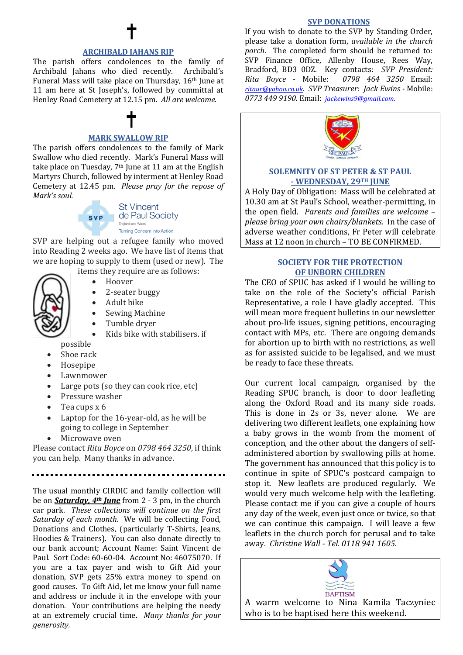### **ARCHIBALD JAHANS RIP**

The parish offers condolences to the family of Archibald Jahans who died recently. Archibald's Funeral Mass will take place on Thursday, 16th June at 11 am here at St Joseph's, followed by committal at Henley Road Cemetery at 12.15 pm. *All are welcome.*

# **MARK SWALLOW RIP**

The parish offers condolences to the family of Mark Swallow who died recently. Mark's Funeral Mass will take place on Tuesday,  $7<sup>th</sup>$  June at 11 am at the English Martyrs Church, followed by interment at Henley Road Cemetery at 12.45 pm. *Please pray for the repose of Mark's soul.*



**St Vincent** de Paul Society England and Wales **Turning Concern into Action** 

SVP are helping out a refugee family who moved into Reading 2 weeks ago. We have list of items that we are hoping to supply to them (used or new). The

items they require are as follows:



- 2-seater buggy
- Adult bike
- Sewing Machine
- Tumble dryer
- Kids bike with stabilisers. if possible
- Shoe rack
- Hosepipe
- **Lawnmower**
- Large pots (so they can cook rice, etc)
- Pressure washer
- Tea cups x 6
- Laptop for the 16-year-old, as he will be going to college in September
- Microwave oven

Please contact *Rita Boyce* on *0798 464 3250*, if think you can help. Many thanks in advance.

The usual monthly CIRDIC and family collection will be on *Saturday, 4th June* from 2 - 3 pm, in the church car park. *These collections will continue on the first Saturday of each month*. We will be collecting Food, Donations and Clothes, (particularly T-Shirts, Jeans, Hoodies & Trainers). You can also donate directly to our bank account; Account Name: Saint Vincent de Paul. Sort Code: 60-60-04. Account No: 46075070. If you are a tax payer and wish to Gift Aid your donation, SVP gets 25% extra money to spend on good causes. To Gift Aid, let me know your full name and address or include it in the envelope with your donation. Your contributions are helping the needy at an extremely crucial time. *Many thanks for your generosity.*

### **SVP DONATIONS**

If you wish to donate to the SVP by Standing Order, please take a donation form, *available in the church porch*. The completed form should be returned to: SVP Finance Office, Allenby House, Rees Way, Bradford, BD3 0DZ. Key contacts: *SVP President: Rita Boyce* - Mobile: *0798 464 3250* Email: *[ritaur@yahoo.co.uk](mailto:ritaur@yahoo.co.uk). SVP Treasurer: Jack Ewins -* Mobile: *0773 449 9190.* Email: *[jackewins9@gmail.com.](mailto:jackewins9@gmail.com)*



### **SOLEMNITY OF ST PETER & ST PAUL - WEDNESDAY, 29TH JUNE**

A Holy Day of Obligation: Mass will be celebrated at 10.30 am at St Paul's School, weather-permitting, in the open field. *Parents and families are welcome – please bring your own chairs/blankets.* In the case of adverse weather conditions, Fr Peter will celebrate Mass at 12 noon in church – TO BE CONFIRMED.

### **SOCIETY FOR THE PROTECTION OF UNBORN CHILDREN**

The CEO of SPUC has asked if I would be willing to take on the role of the Society's official Parish Representative, a role I have gladly accepted. This will mean more frequent bulletins in our newsletter about pro-life issues, signing petitions, encouraging contact with MPs, etc. There are ongoing demands for abortion up to birth with no restrictions, as well as for assisted suicide to be legalised, and we must be ready to face these threats.

Our current local campaign, organised by the Reading SPUC branch, is door to door leafleting along the Oxford Road and its many side roads. This is done in 2s or 3s, never alone. We are delivering two different leaflets, one explaining how a baby grows in the womb from the moment of conception, and the other about the dangers of selfadministered abortion by swallowing pills at home. The government has announced that this policy is to continue in spite of SPUC's postcard campaign to stop it. New leaflets are produced regularly. We would very much welcome help with the leafleting. Please contact me if you can give a couple of hours any day of the week, even just once or twice, so that we can continue this campaign. I will leave a few leaflets in the church porch for perusal and to take away. *Christine Wall - Tel. 0118 941 1605*.

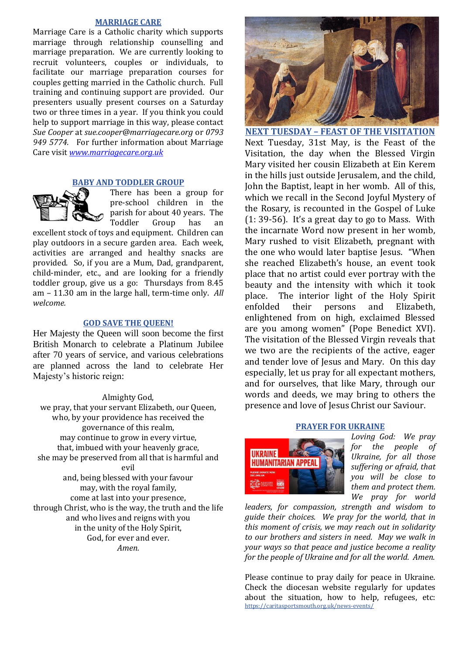### **MARRIAGE CARE**

Marriage Care is a Catholic charity which supports marriage through relationship counselling and marriage preparation. We are currently looking to recruit volunteers, couples or individuals, to facilitate our marriage preparation courses for couples getting married in the Catholic church. Full training and continuing support are provided. Our presenters usually present courses on a Saturday two or three times in a year. If you think you could help to support marriage in this way, please contact *Sue Cooper* at *sue.cooper@marriagecare.org* or *0793 949 5774.* For further information about Marriage Care visit *[www.marriagecare.org.uk](http://www.marriagecare.org.uk/)*

### **BABY AND TODDLER GROUP**



There has been a group for pre-school children in the parish for about 40 years. The Toddler Group has an

excellent stock of toys and equipment. Children can play outdoors in a secure garden area. Each week, activities are arranged and healthy snacks are provided. So, if you are a Mum, Dad, grandparent, child-minder, etc., and are looking for a friendly toddler group, give us a go: Thursdays from 8.45 am – 11.30 am in the large hall, term-time only. *All welcome.*

### **GOD SAVE THE QUEEN!**

Her Majesty the Queen will soon become the first British Monarch to celebrate a Platinum Jubilee after 70 years of service, and various celebrations are planned across the land to celebrate Her Majesty's historic reign:

### Almighty God,

we pray, that your servant Elizabeth, our Queen, who, by your providence has received the governance of this realm, may continue to grow in every virtue, that, imbued with your heavenly grace, she may be preserved from all that is harmful and evil and, being blessed with your favour may, with the royal family, come at last into your presence, through Christ, who is the way, the truth and the life and who lives and reigns with you in the unity of the Holy Spirit, God, for ever and ever. *Amen.*



**NEXT TUESDAY – FEAST OF THE VISITATION** Next Tuesday, 31st May, is the Feast of the Visitation, the day when the Blessed Virgin Mary visited her cousin Elizabeth at Ein Kerem in the hills just outside Jerusalem, and the child, John the Baptist, leapt in her womb. All of this, which we recall in the Second Joyful Mystery of the Rosary, is recounted in the Gospel of Luke (1: 39-56). It's a great day to go to Mass. With the incarnate Word now present in her womb, Mary rushed to visit Elizabeth, pregnant with the one who would later baptise Jesus. "When she reached Elizabeth's house, an event took place that no artist could ever portray with the beauty and the intensity with which it took place. The interior light of the Holy Spirit enfolded their persons and Elizabeth, enlightened from on high, exclaimed Blessed are you among women" (Pope Benedict XVI). The visitation of the Blessed Virgin reveals that we two are the recipients of the active, eager and tender love of Jesus and Mary. On this day especially, let us pray for all expectant mothers, and for ourselves, that like Mary, through our words and deeds, we may bring to others the presence and love of Jesus Christ our Saviour.

### **PRAYER FOR UKRAINE**



*Loving God: We pray for the people of Ukraine, for all those suffering or afraid, that you will be close to them and protect them. We pray for world*

*leaders, for compassion, strength and wisdom to guide their choices. We pray for the world, that in this moment of crisis, we may reach out in solidarity to our brothers and sisters in need. May we walk in your ways so that peace and justice become a reality for the people of Ukraine and for all the world. Amen.*

Please continue to pray daily for peace in Ukraine. Check the diocesan website regularly for updates about the situation, how to help, refugees, etc: <https://caritasportsmouth.org.uk/news-events/>